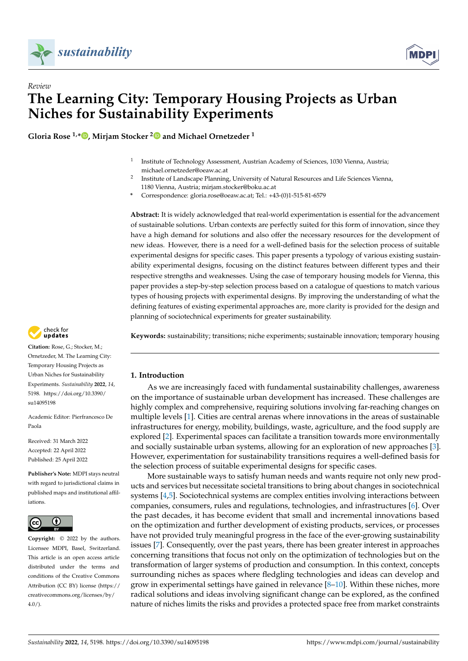



# *Review* **The Learning City: Temporary Housing Projects as Urban Niches for Sustainability Experiments**

**Gloria Rose 1,[\\*](https://orcid.org/0000-0002-1584-7015) , Mirjam Stocker [2](https://orcid.org/0000-0002-0270-6686) and Michael Ornetzeder <sup>1</sup>**

- 1 Institute of Technology Assessment, Austrian Academy of Sciences, 1030 Vienna, Austria; michael.ornetzeder@oeaw.ac.at
- $\overline{2}$ Institute of Landscape Planning, University of Natural Resources and Life Sciences Vienna, 1180 Vienna, Austria; mirjam.stocker@boku.ac.at
- **\*** Correspondence: gloria.rose@oeaw.ac.at; Tel.: +43-(0)1-515-81-6579

**Abstract:** It is widely acknowledged that real-world experimentation is essential for the advancement of sustainable solutions. Urban contexts are perfectly suited for this form of innovation, since they have a high demand for solutions and also offer the necessary resources for the development of new ideas. However, there is a need for a well-defined basis for the selection process of suitable experimental designs for specific cases. This paper presents a typology of various existing sustainability experimental designs, focusing on the distinct features between different types and their respective strengths and weaknesses. Using the case of temporary housing models for Vienna, this paper provides a step-by-step selection process based on a catalogue of questions to match various types of housing projects with experimental designs. By improving the understanding of what the defining features of existing experimental approaches are, more clarity is provided for the design and planning of sociotechnical experiments for greater sustainability.



# **1. Introduction**

As we are increasingly faced with fundamental sustainability challenges, awareness on the importance of sustainable urban development has increased. These challenges are highly complex and comprehensive, requiring solutions involving far-reaching changes on multiple levels [\[1\]](#page-17-0). Cities are central arenas where innovations in the areas of sustainable infrastructures for energy, mobility, buildings, waste, agriculture, and the food supply are explored [\[2\]](#page-17-1). Experimental spaces can facilitate a transition towards more environmentally and socially sustainable urban systems, allowing for an exploration of new approaches [\[3\]](#page-17-2). However, experimentation for sustainability transitions requires a well-defined basis for the selection process of suitable experimental designs for specific cases.

More sustainable ways to satisfy human needs and wants require not only new products and services but necessitate societal transitions to bring about changes in sociotechnical systems [\[4](#page-17-3)[,5\]](#page-17-4). Sociotechnical systems are complex entities involving interactions between companies, consumers, rules and regulations, technologies, and infrastructures [\[6\]](#page-17-5). Over the past decades, it has become evident that small and incremental innovations based on the optimization and further development of existing products, services, or processes have not provided truly meaningful progress in the face of the ever-growing sustainability issues [\[7\]](#page-17-6). Consequently, over the past years, there has been greater interest in approaches concerning transitions that focus not only on the optimization of technologies but on the transformation of larger systems of production and consumption. In this context, concepts surrounding niches as spaces where fledgling technologies and ideas can develop and grow in experimental settings have gained in relevance  $[8-10]$  $[8-10]$ . Within these niches, more radical solutions and ideas involving significant change can be explored, as the confined nature of niches limits the risks and provides a protected space free from market constraints



**Citation:** Rose, G.; Stocker, M.; Ornetzeder, M. The Learning City: Temporary Housing Projects as Urban Niches for Sustainability Experiments. *Sustainability* **2022**, *14*, 5198. [https://doi.org/10.3390/](https://doi.org/10.3390/su14095198) [su14095198](https://doi.org/10.3390/su14095198)

Academic Editor: Pierfrancesco De Paola

Received: 31 March 2022 Accepted: 22 April 2022 Published: 25 April 2022

**Publisher's Note:** MDPI stays neutral with regard to jurisdictional claims in published maps and institutional affiliations.



**Copyright:** © 2022 by the authors. Licensee MDPI, Basel, Switzerland. This article is an open access article distributed under the terms and conditions of the Creative Commons Attribution (CC BY) license [\(https://](https://creativecommons.org/licenses/by/4.0/) [creativecommons.org/licenses/by/](https://creativecommons.org/licenses/by/4.0/)  $4.0/$ ).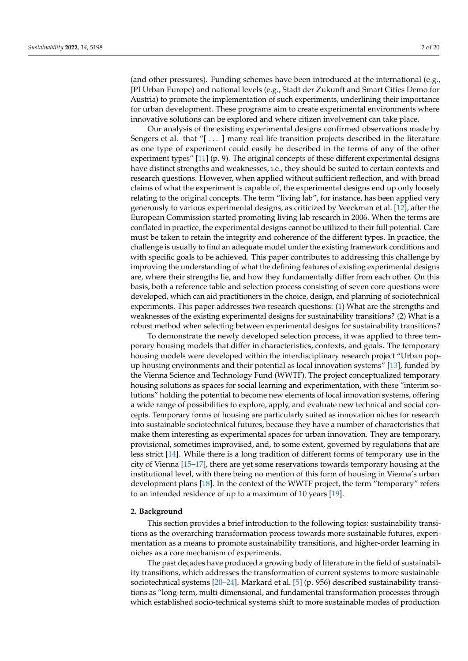(and other pressures). Funding schemes have been introduced at the international (e.g., JPI Urban Europe) and national levels (e.g., Stadt der Zukunft and Smart Cities Demo for Austria) to promote the implementation of such experiments, underlining their importance for urban development. These programs aim to create experimental environments where innovative solutions can be explored and where citizen involvement can take place.

Our analysis of the existing experimental designs confirmed observations made by Sengers et al. that "[ ... ] many real-life transition projects described in the literature as one type of experiment could easily be described in the terms of any of the other experiment types" [\[11\]](#page-17-9) (p. 9). The original concepts of these different experimental designs have distinct strengths and weaknesses, i.e., they should be suited to certain contexts and research questions. However, when applied without sufficient reflection, and with broad claims of what the experiment is capable of, the experimental designs end up only loosely relating to the original concepts. The term "living lab", for instance, has been applied very generously to various experimental designs, as criticized by Veeckman et al. [\[12\]](#page-17-10), after the European Commission started promoting living lab research in 2006. When the terms are conflated in practice, the experimental designs cannot be utilized to their full potential. Care must be taken to retain the integrity and coherence of the different types. In practice, the challenge is usually to find an adequate model under the existing framework conditions and with specific goals to be achieved. This paper contributes to addressing this challenge by improving the understanding of what the defining features of existing experimental designs are, where their strengths lie, and how they fundamentally differ from each other. On this basis, both a reference table and selection process consisting of seven core questions were developed, which can aid practitioners in the choice, design, and planning of sociotechnical experiments. This paper addresses two research questions: (1) What are the strengths and weaknesses of the existing experimental designs for sustainability transitions? (2) What is a robust method when selecting between experimental designs for sustainability transitions?

To demonstrate the newly developed selection process, it was applied to three temporary housing models that differ in characteristics, contexts, and goals. The temporary housing models were developed within the interdisciplinary research project "Urban popup housing environments and their potential as local innovation systems" [\[13\]](#page-17-11), funded by the Vienna Science and Technology Fund (WWTF). The project conceptualized temporary housing solutions as spaces for social learning and experimentation, with these "interim solutions" holding the potential to become new elements of local innovation systems, offering a wide range of possibilities to explore, apply, and evaluate new technical and social concepts. Temporary forms of housing are particularly suited as innovation niches for research into sustainable sociotechnical futures, because they have a number of characteristics that make them interesting as experimental spaces for urban innovation. They are temporary, provisional, sometimes improvised, and, to some extent, governed by regulations that are less strict [\[14\]](#page-17-12). While there is a long tradition of different forms of temporary use in the city of Vienna [\[15–](#page-17-13)[17\]](#page-17-14), there are yet some reservations towards temporary housing at the institutional level, with there being no mention of this form of housing in Vienna's urban development plans [\[18\]](#page-18-0). In the context of the WWTF project, the term "temporary" refers to an intended residence of up to a maximum of 10 years [\[19\]](#page-18-1).

## **2. Background**

This section provides a brief introduction to the following topics: sustainability transitions as the overarching transformation process towards more sustainable futures, experimentation as a means to promote sustainability transitions, and higher-order learning in niches as a core mechanism of experiments.

The past decades have produced a growing body of literature in the field of sustainability transitions, which addresses the transformation of current systems to more sustainable sociotechnical systems [\[20](#page-18-2)[–24\]](#page-18-3). Markard et al. [\[5\]](#page-17-4) (p. 956) described sustainability transitions as "long-term, multi-dimensional, and fundamental transformation processes through which established socio-technical systems shift to more sustainable modes of production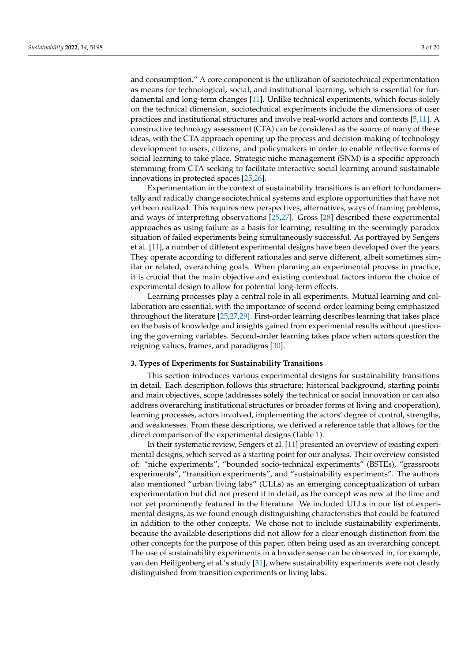and consumption." A core component is the utilization of sociotechnical experimentation as means for technological, social, and institutional learning, which is essential for fundamental and long-term changes [\[11\]](#page-17-9). Unlike technical experiments, which focus solely on the technical dimension, sociotechnical experiments include the dimensions of user practices and institutional structures and involve real-world actors and contexts [\[5](#page-17-4)[,11\]](#page-17-9). A constructive technology assessment (CTA) can be considered as the source of many of these ideas, with the CTA approach opening up the process and decision-making of technology development to users, citizens, and policymakers in order to enable reflective forms of social learning to take place. Strategic niche management (SNM) is a specific approach stemming from CTA seeking to facilitate interactive social learning around sustainable innovations in protected spaces [\[25](#page-18-4)[,26\]](#page-18-5).

Experimentation in the context of sustainability transitions is an effort to fundamentally and radically change sociotechnical systems and explore opportunities that have not yet been realized. This requires new perspectives, alternatives, ways of framing problems, and ways of interpreting observations [\[25](#page-18-4)[,27\]](#page-18-6). Gross [\[28\]](#page-18-7) described these experimental approaches as using failure as a basis for learning, resulting in the seemingly paradox situation of failed experiments being simultaneously successful. As portrayed by Sengers et al. [\[11\]](#page-17-9), a number of different experimental designs have been developed over the years. They operate according to different rationales and serve different, albeit sometimes similar or related, overarching goals. When planning an experimental process in practice, it is crucial that the main objective and existing contextual factors inform the choice of experimental design to allow for potential long-term effects.

Learning processes play a central role in all experiments. Mutual learning and collaboration are essential, with the importance of second-order learning being emphasized throughout the literature [\[25](#page-18-4)[,27](#page-18-6)[,29\]](#page-18-8). First-order learning describes learning that takes place on the basis of knowledge and insights gained from experimental results without questioning the governing variables. Second-order learning takes place when actors question the reigning values, frames, and paradigms [\[30\]](#page-18-9).

# **3. Types of Experiments for Sustainability Transitions**

This section introduces various experimental designs for sustainability transitions in detail. Each description follows this structure: historical background, starting points and main objectives, scope (addresses solely the technical or social innovation or can also address overarching institutional structures or broader forms of living and cooperation), learning processes, actors involved, implementing the actors' degree of control, strengths, and weaknesses. From these descriptions, we derived a reference table that allows for the direct comparison of the experimental designs (Table [1\)](#page-3-0).

In their systematic review, Sengers et al. [\[11\]](#page-17-9) presented an overview of existing experimental designs, which served as a starting point for our analysis. Their overview consisted of: "niche experiments", "bounded socio-technical experiments" (BSTEs), "grassroots experiments", "transition experiments", and "sustainability experiments". The authors also mentioned "urban living labs" (ULLs) as an emerging conceptualization of urban experimentation but did not present it in detail, as the concept was new at the time and not yet prominently featured in the literature. We included ULLs in our list of experimental designs, as we found enough distinguishing characteristics that could be featured in addition to the other concepts. We chose not to include sustainability experiments, because the available descriptions did not allow for a clear enough distinction from the other concepts for the purpose of this paper, often being used as an overarching concept. The use of sustainability experiments in a broader sense can be observed in, for example, van den Heiligenberg et al.'s study [\[31\]](#page-18-10), where sustainability experiments were not clearly distinguished from transition experiments or living labs.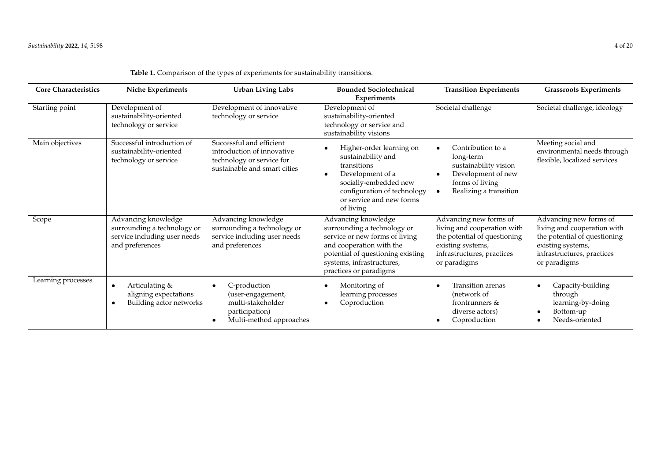<span id="page-3-0"></span>

| <b>Core Characteristics</b> | Niche Experiments                                                                                     | <b>Urban Living Labs</b>                                                                                            | <b>Bounded Sociotechnical</b><br><b>Experiments</b>                                                                                                                                                          | <b>Transition Experiments</b>                                                                                                                            | <b>Grassroots Experiments</b>                                                                                                                            |
|-----------------------------|-------------------------------------------------------------------------------------------------------|---------------------------------------------------------------------------------------------------------------------|--------------------------------------------------------------------------------------------------------------------------------------------------------------------------------------------------------------|----------------------------------------------------------------------------------------------------------------------------------------------------------|----------------------------------------------------------------------------------------------------------------------------------------------------------|
| Starting point              | Development of<br>sustainability-oriented<br>technology or service                                    | Development of innovative<br>technology or service                                                                  | Development of<br>sustainability-oriented<br>technology or service and<br>sustainability visions                                                                                                             | Societal challenge                                                                                                                                       | Societal challenge, ideology                                                                                                                             |
| Main objectives             | Successful introduction of<br>sustainability-oriented<br>technology or service                        | Successful and efficient<br>introduction of innovative<br>technology or service for<br>sustainable and smart cities | Higher-order learning on<br>sustainability and<br>transitions<br>Development of a<br>socially-embedded new<br>configuration of technology<br>or service and new forms<br>of living                           | Contribution to a<br>long-term<br>sustainability vision<br>Development of new<br>forms of living<br>Realizing a transition                               | Meeting social and<br>environmental needs through<br>flexible, localized services                                                                        |
| Scope                       | Advancing knowledge<br>surrounding a technology or<br>service including user needs<br>and preferences | Advancing knowledge<br>surrounding a technology or<br>service including user needs<br>and preferences               | Advancing knowledge<br>surrounding a technology or<br>service or new forms of living<br>and cooperation with the<br>potential of questioning existing<br>systems, infrastructures,<br>practices or paradigms | Advancing new forms of<br>living and cooperation with<br>the potential of questioning<br>existing systems,<br>infrastructures, practices<br>or paradigms | Advancing new forms of<br>living and cooperation with<br>the potential of questioning<br>existing systems,<br>infrastructures, practices<br>or paradigms |
| Learning processes          | Articulating &<br>$\bullet$<br>aligning expectations<br>Building actor networks<br>$\bullet$          | C-production<br>(user-engagement,<br>multi-stakeholder<br>participation)<br>Multi-method approaches                 | Monitoring of<br>learning processes<br>Coproduction                                                                                                                                                          | <b>Transition arenas</b><br>(network of<br>frontrunners &<br>diverse actors)<br>Coproduction                                                             | Capacity-building<br>through<br>learning-by-doing<br>Bottom-up<br>Needs-oriented                                                                         |

|  |  | Table 1. Comparison of the types of experiments for sustainability transitions. |  |
|--|--|---------------------------------------------------------------------------------|--|
|  |  |                                                                                 |  |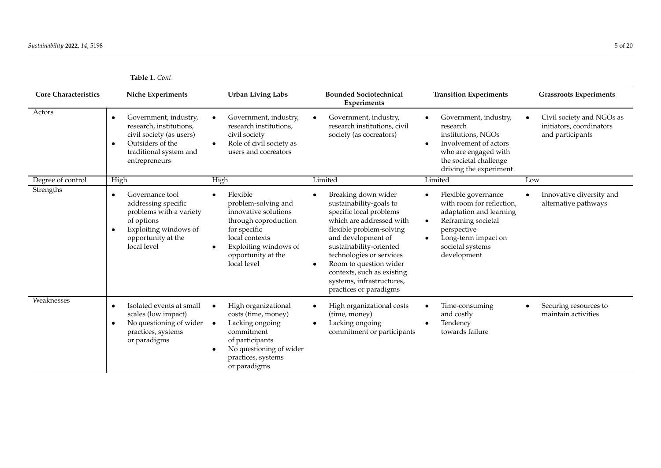**Table 1.** *Cont.*

| <b>Core Characteristics</b> | <b>Niche Experiments</b>                                                                                                                                                | <b>Urban Living Labs</b>                                                                                                                                                        | <b>Bounded Sociotechnical</b><br>Experiments                                                                                                                                                                                                                                                                                                            | <b>Transition Experiments</b>                                                                                                                                                                        | <b>Grassroots Experiments</b>                                             |
|-----------------------------|-------------------------------------------------------------------------------------------------------------------------------------------------------------------------|---------------------------------------------------------------------------------------------------------------------------------------------------------------------------------|---------------------------------------------------------------------------------------------------------------------------------------------------------------------------------------------------------------------------------------------------------------------------------------------------------------------------------------------------------|------------------------------------------------------------------------------------------------------------------------------------------------------------------------------------------------------|---------------------------------------------------------------------------|
| Actors                      | Government, industry,<br>$\bullet$<br>research, institutions,<br>civil society (as users)<br>Outsiders of the<br>$\bullet$<br>traditional system and<br>entrepreneurs   | Government, industry,<br>research institutions,<br>civil society<br>Role of civil society as<br>users and cocreators                                                            | Government, industry,<br>research institutions, civil<br>society (as cocreators)                                                                                                                                                                                                                                                                        | Government, industry,<br>research<br>institutions, NGOs<br>Involvement of actors<br>who are engaged with<br>the societal challenge<br>driving the experiment                                         | Civil society and NGOs as<br>initiators, coordinators<br>and participants |
| Degree of control           | High                                                                                                                                                                    | High                                                                                                                                                                            | Limited                                                                                                                                                                                                                                                                                                                                                 | Limited                                                                                                                                                                                              | Low                                                                       |
| Strengths                   | Governance tool<br>$\bullet$<br>addressing specific<br>problems with a variety<br>of options<br>Exploiting windows of<br>$\bullet$<br>opportunity at the<br>local level | Flexible<br>problem-solving and<br>innovative solutions<br>through coproduction<br>for specific<br>local contexts<br>Exploiting windows of<br>opportunity at the<br>local level | Breaking down wider<br>$\bullet$<br>sustainability-goals to<br>specific local problems<br>which are addressed with<br>flexible problem-solving<br>and development of<br>sustainability-oriented<br>technologies or services<br>Room to question wider<br>$\bullet$<br>contexts, such as existing<br>systems, infrastructures,<br>practices or paradigms | Flexible governance<br>with room for reflection,<br>adaptation and learning<br>Reframing societal<br>$\bullet$<br>perspective<br>Long-term impact on<br>$\bullet$<br>societal systems<br>development | Innovative diversity and<br>alternative pathways                          |
| Weaknesses                  | Isolated events at small<br>$\bullet$<br>scales (low impact)<br>No questioning of wider<br>$\bullet$<br>practices, systems<br>or paradigms                              | High organizational<br>costs (time, money)<br>Lacking ongoing<br>$\bullet$<br>commitment<br>of participants<br>No questioning of wider<br>practices, systems<br>or paradigms    | High organizational costs<br>$\bullet$<br>(time, money)<br>Lacking ongoing<br>$\bullet$<br>commitment or participants                                                                                                                                                                                                                                   | Time-consuming<br>and costly<br>Tendency<br>towards failure                                                                                                                                          | Securing resources to<br>maintain activities                              |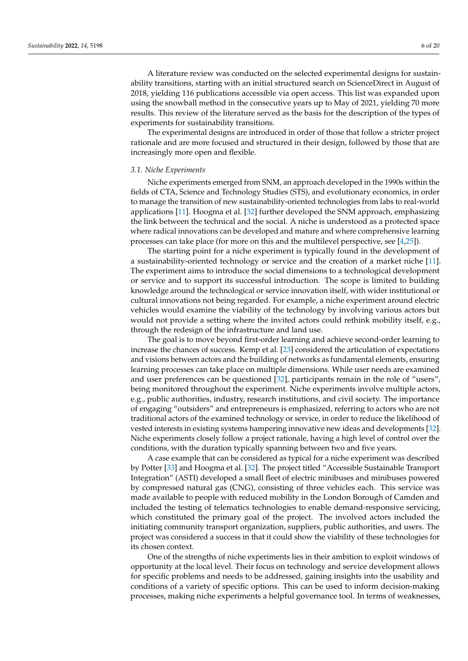A literature review was conducted on the selected experimental designs for sustainability transitions, starting with an initial structured search on ScienceDirect in August of 2018, yielding 116 publications accessible via open access. This list was expanded upon using the snowball method in the consecutive years up to May of 2021, yielding 70 more results. This review of the literature served as the basis for the description of the types of experiments for sustainability transitions.

The experimental designs are introduced in order of those that follow a stricter project rationale and are more focused and structured in their design, followed by those that are increasingly more open and flexible.

## *3.1. Niche Experiments*

Niche experiments emerged from SNM, an approach developed in the 1990s within the fields of CTA, Science and Technology Studies (STS), and evolutionary economics, in order to manage the transition of new sustainability-oriented technologies from labs to real-world applications [\[11\]](#page-17-9). Hoogma et al. [\[32\]](#page-18-11) further developed the SNM approach, emphasizing the link between the technical and the social. A niche is understood as a protected space where radical innovations can be developed and mature and where comprehensive learning processes can take place (for more on this and the multilevel perspective, see [\[4](#page-17-3)[,25\]](#page-18-4)).

The starting point for a niche experiment is typically found in the development of a sustainability-oriented technology or service and the creation of a market niche [\[11\]](#page-17-9). The experiment aims to introduce the social dimensions to a technological development or service and to support its successful introduction. The scope is limited to building knowledge around the technological or service innovation itself, with wider institutional or cultural innovations not being regarded. For example, a niche experiment around electric vehicles would examine the viability of the technology by involving various actors but would not provide a setting where the invited actors could rethink mobility itself, e.g., through the redesign of the infrastructure and land use.

The goal is to move beyond first-order learning and achieve second-order learning to increase the chances of success. Kemp et al. [\[23\]](#page-18-12) considered the articulation of expectations and visions between actors and the building of networks as fundamental elements, ensuring learning processes can take place on multiple dimensions. While user needs are examined and user preferences can be questioned [\[32\]](#page-18-11), participants remain in the role of "users", being monitored throughout the experiment. Niche experiments involve multiple actors, e.g., public authorities, industry, research institutions, and civil society. The importance of engaging "outsiders" and entrepreneurs is emphasized, referring to actors who are not traditional actors of the examined technology or service, in order to reduce the likelihood of vested interests in existing systems hampering innovative new ideas and developments [\[32\]](#page-18-11). Niche experiments closely follow a project rationale, having a high level of control over the conditions, with the duration typically spanning between two and five years.

A case example that can be considered as typical for a niche experiment was described by Potter [\[33\]](#page-18-13) and Hoogma et al. [\[32\]](#page-18-11). The project titled "Accessible Sustainable Transport Integration" (ASTI) developed a small fleet of electric minibuses and minibuses powered by compressed natural gas (CNG), consisting of three vehicles each. This service was made available to people with reduced mobility in the London Borough of Camden and included the testing of telematics technologies to enable demand-responsive servicing, which constituted the primary goal of the project. The involved actors included the initiating community transport organization, suppliers, public authorities, and users. The project was considered a success in that it could show the viability of these technologies for its chosen context.

One of the strengths of niche experiments lies in their ambition to exploit windows of opportunity at the local level. Their focus on technology and service development allows for specific problems and needs to be addressed, gaining insights into the usability and conditions of a variety of specific options. This can be used to inform decision-making processes, making niche experiments a helpful governance tool. In terms of weaknesses,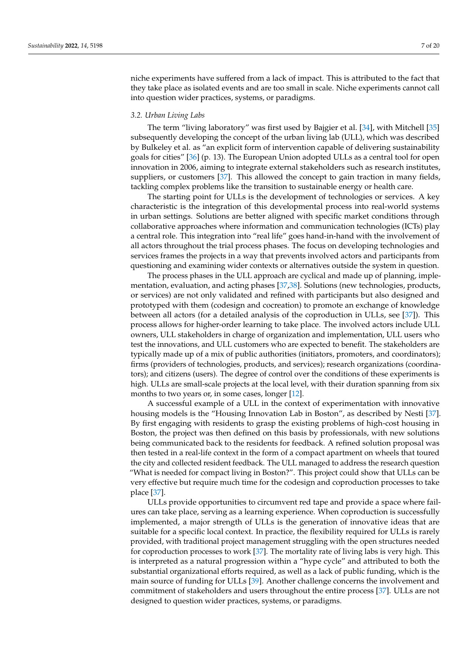niche experiments have suffered from a lack of impact. This is attributed to the fact that they take place as isolated events and are too small in scale. Niche experiments cannot call into question wider practices, systems, or paradigms.

# *3.2. Urban Living Labs*

The term "living laboratory" was first used by Bajgier et al. [\[34\]](#page-18-14), with Mitchell [\[35\]](#page-18-15) subsequently developing the concept of the urban living lab (ULL), which was described by Bulkeley et al. as "an explicit form of intervention capable of delivering sustainability goals for cities" [\[36\]](#page-18-16) (p. 13). The European Union adopted ULLs as a central tool for open innovation in 2006, aiming to integrate external stakeholders such as research institutes, suppliers, or customers [\[37\]](#page-18-17). This allowed the concept to gain traction in many fields, tackling complex problems like the transition to sustainable energy or health care.

The starting point for ULLs is the development of technologies or services. A key characteristic is the integration of this developmental process into real-world systems in urban settings. Solutions are better aligned with specific market conditions through collaborative approaches where information and communication technologies (ICTs) play a central role. This integration into "real life" goes hand-in-hand with the involvement of all actors throughout the trial process phases. The focus on developing technologies and services frames the projects in a way that prevents involved actors and participants from questioning and examining wider contexts or alternatives outside the system in question.

The process phases in the ULL approach are cyclical and made up of planning, implementation, evaluation, and acting phases [\[37,](#page-18-17)[38\]](#page-18-18). Solutions (new technologies, products, or services) are not only validated and refined with participants but also designed and prototyped with them (codesign and cocreation) to promote an exchange of knowledge between all actors (for a detailed analysis of the coproduction in ULLs, see [\[37\]](#page-18-17)). This process allows for higher-order learning to take place. The involved actors include ULL owners, ULL stakeholders in charge of organization and implementation, ULL users who test the innovations, and ULL customers who are expected to benefit. The stakeholders are typically made up of a mix of public authorities (initiators, promoters, and coordinators); firms (providers of technologies, products, and services); research organizations (coordinators); and citizens (users). The degree of control over the conditions of these experiments is high. ULLs are small-scale projects at the local level, with their duration spanning from six months to two years or, in some cases, longer [\[12\]](#page-17-10).

A successful example of a ULL in the context of experimentation with innovative housing models is the "Housing Innovation Lab in Boston", as described by Nesti [\[37\]](#page-18-17). By first engaging with residents to grasp the existing problems of high-cost housing in Boston, the project was then defined on this basis by professionals, with new solutions being communicated back to the residents for feedback. A refined solution proposal was then tested in a real-life context in the form of a compact apartment on wheels that toured the city and collected resident feedback. The ULL managed to address the research question "What is needed for compact living in Boston?". This project could show that ULLs can be very effective but require much time for the codesign and coproduction processes to take place [\[37\]](#page-18-17).

ULLs provide opportunities to circumvent red tape and provide a space where failures can take place, serving as a learning experience. When coproduction is successfully implemented, a major strength of ULLs is the generation of innovative ideas that are suitable for a specific local context. In practice, the flexibility required for ULLs is rarely provided, with traditional project management struggling with the open structures needed for coproduction processes to work [\[37\]](#page-18-17). The mortality rate of living labs is very high. This is interpreted as a natural progression within a "hype cycle" and attributed to both the substantial organizational efforts required, as well as a lack of public funding, which is the main source of funding for ULLs [\[39\]](#page-18-19). Another challenge concerns the involvement and commitment of stakeholders and users throughout the entire process [\[37\]](#page-18-17). ULLs are not designed to question wider practices, systems, or paradigms.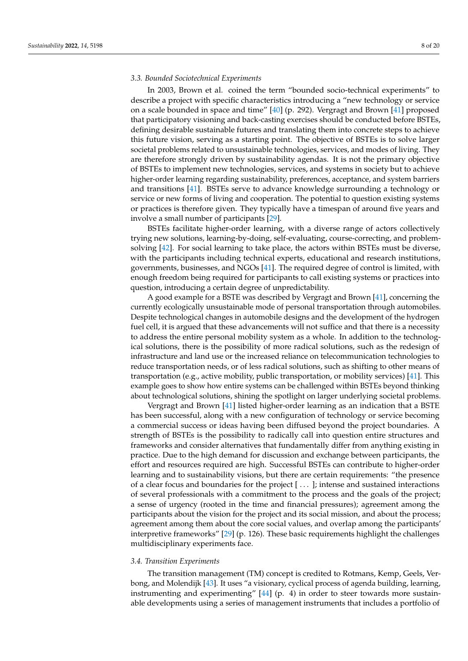## *3.3. Bounded Sociotechnical Experiments*

In 2003, Brown et al. coined the term "bounded socio-technical experiments" to describe a project with specific characteristics introducing a "new technology or service on a scale bounded in space and time" [\[40\]](#page-18-20) (p. 292). Vergragt and Brown [\[41\]](#page-18-21) proposed that participatory visioning and back-casting exercises should be conducted before BSTEs, defining desirable sustainable futures and translating them into concrete steps to achieve this future vision, serving as a starting point. The objective of BSTEs is to solve larger societal problems related to unsustainable technologies, services, and modes of living. They are therefore strongly driven by sustainability agendas. It is not the primary objective of BSTEs to implement new technologies, services, and systems in society but to achieve higher-order learning regarding sustainability, preferences, acceptance, and system barriers and transitions [\[41\]](#page-18-21). BSTEs serve to advance knowledge surrounding a technology or service or new forms of living and cooperation. The potential to question existing systems or practices is therefore given. They typically have a timespan of around five years and involve a small number of participants [\[29\]](#page-18-8).

BSTEs facilitate higher-order learning, with a diverse range of actors collectively trying new solutions, learning-by-doing, self-evaluating, course-correcting, and problemsolving [\[42\]](#page-18-22). For social learning to take place, the actors within BSTEs must be diverse, with the participants including technical experts, educational and research institutions, governments, businesses, and NGOs [\[41\]](#page-18-21). The required degree of control is limited, with enough freedom being required for participants to call existing systems or practices into question, introducing a certain degree of unpredictability.

A good example for a BSTE was described by Vergragt and Brown [\[41\]](#page-18-21), concerning the currently ecologically unsustainable mode of personal transportation through automobiles. Despite technological changes in automobile designs and the development of the hydrogen fuel cell, it is argued that these advancements will not suffice and that there is a necessity to address the entire personal mobility system as a whole. In addition to the technological solutions, there is the possibility of more radical solutions, such as the redesign of infrastructure and land use or the increased reliance on telecommunication technologies to reduce transportation needs, or of less radical solutions, such as shifting to other means of transportation (e.g., active mobility, public transportation, or mobility services) [\[41\]](#page-18-21). This example goes to show how entire systems can be challenged within BSTEs beyond thinking about technological solutions, shining the spotlight on larger underlying societal problems.

Vergragt and Brown [\[41\]](#page-18-21) listed higher-order learning as an indication that a BSTE has been successful, along with a new configuration of technology or service becoming a commercial success or ideas having been diffused beyond the project boundaries. A strength of BSTEs is the possibility to radically call into question entire structures and frameworks and consider alternatives that fundamentally differ from anything existing in practice. Due to the high demand for discussion and exchange between participants, the effort and resources required are high. Successful BSTEs can contribute to higher-order learning and to sustainability visions, but there are certain requirements: "the presence of a clear focus and boundaries for the project [ . . . ]; intense and sustained interactions of several professionals with a commitment to the process and the goals of the project; a sense of urgency (rooted in the time and financial pressures); agreement among the participants about the vision for the project and its social mission, and about the process; agreement among them about the core social values, and overlap among the participants' interpretive frameworks" [\[29\]](#page-18-8) (p. 126). These basic requirements highlight the challenges multidisciplinary experiments face.

## *3.4. Transition Experiments*

The transition management (TM) concept is credited to Rotmans, Kemp, Geels, Verbong, and Molendijk [\[43\]](#page-18-23). It uses "a visionary, cyclical process of agenda building, learning, instrumenting and experimenting" [\[44\]](#page-18-24) (p. 4) in order to steer towards more sustainable developments using a series of management instruments that includes a portfolio of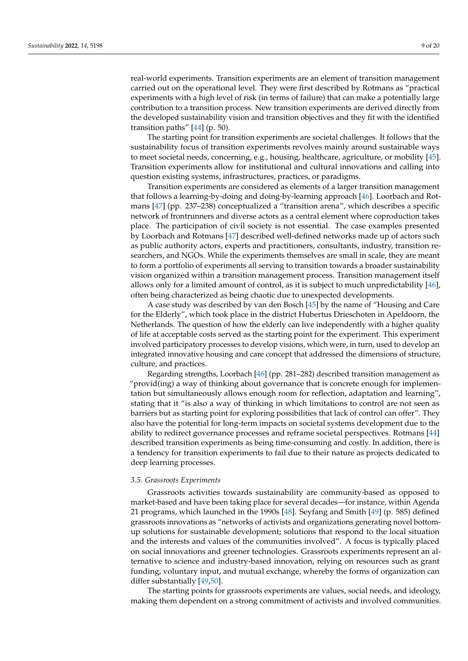real-world experiments. Transition experiments are an element of transition management carried out on the operational level. They were first described by Rotmans as "practical experiments with a high level of risk (in terms of failure) that can make a potentially large contribution to a transition process. New transition experiments are derived directly from the developed sustainability vision and transition objectives and they fit with the identified transition paths" [\[44\]](#page-18-24) (p. 50).

The starting point for transition experiments are societal challenges. It follows that the sustainability focus of transition experiments revolves mainly around sustainable ways to meet societal needs, concerning, e.g., housing, healthcare, agriculture, or mobility [\[45\]](#page-18-25). Transition experiments allow for institutional and cultural innovations and calling into question existing systems, infrastructures, practices, or paradigms.

Transition experiments are considered as elements of a larger transition management that follows a learning-by-doing and doing-by-learning approach [\[46\]](#page-18-26). Loorbach and Rotmans [\[47\]](#page-18-27) (pp. 237–238) conceptualized a "transition arena", which describes a specific network of frontrunners and diverse actors as a central element where coproduction takes place. The participation of civil society is not essential. The case examples presented by Loorbach and Rotmans [\[47\]](#page-18-27) described well-defined networks made up of actors such as public authority actors, experts and practitioners, consultants, industry, transition researchers, and NGOs. While the experiments themselves are small in scale, they are meant to form a portfolio of experiments all serving to transition towards a broader sustainability vision organized within a transition management process. Transition management itself allows only for a limited amount of control, as it is subject to much unpredictability [\[46\]](#page-18-26), often being characterized as being chaotic due to unexpected developments.

A case study was described by van den Bosch [\[45\]](#page-18-25) by the name of "Housing and Care for the Elderly", which took place in the district Hubertus Drieschoten in Apeldoorn, the Netherlands. The question of how the elderly can live independently with a higher quality of life at acceptable costs served as the starting point for the experiment. This experiment involved participatory processes to develop visions, which were, in turn, used to develop an integrated innovative housing and care concept that addressed the dimensions of structure, culture, and practices.

Regarding strengths, Loorbach [\[46\]](#page-18-26) (pp. 281–282) described transition management as "provid(ing) a way of thinking about governance that is concrete enough for implementation but simultaneously allows enough room for reflection, adaptation and learning", stating that it "is also a way of thinking in which limitations to control are not seen as barriers but as starting point for exploring possibilities that lack of control can offer". They also have the potential for long-term impacts on societal systems development due to the ability to redirect governance processes and reframe societal perspectives. Rotmans [\[44\]](#page-18-24) described transition experiments as being time-consuming and costly. In addition, there is a tendency for transition experiments to fail due to their nature as projects dedicated to deep learning processes.

#### *3.5. Grassroots Experiments*

Grassroots activities towards sustainability are community-based as opposed to market-based and have been taking place for several decades—for instance, within Agenda 21 programs, which launched in the 1990s [\[48\]](#page-18-28). Seyfang and Smith [\[49\]](#page-19-0) (p. 585) defined grassroots innovations as "networks of activists and organizations generating novel bottomup solutions for sustainable development; solutions that respond to the local situation and the interests and values of the communities involved". A focus is typically placed on social innovations and greener technologies. Grassroots experiments represent an alternative to science and industry-based innovation, relying on resources such as grant funding, voluntary input, and mutual exchange, whereby the forms of organization can differ substantially [\[49](#page-19-0)[,50\]](#page-19-1).

The starting points for grassroots experiments are values, social needs, and ideology, making them dependent on a strong commitment of activists and involved communities.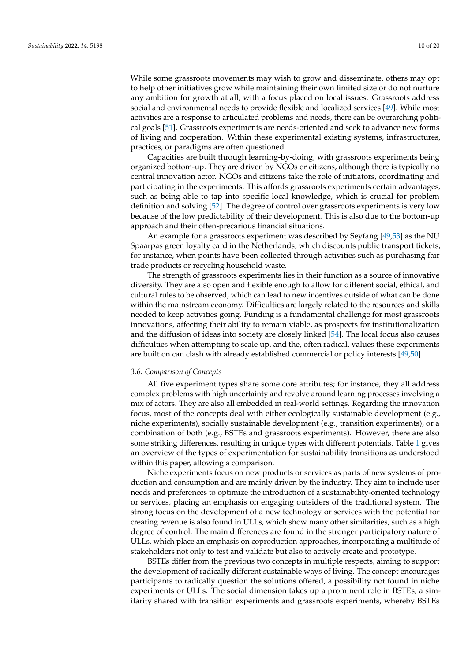While some grassroots movements may wish to grow and disseminate, others may opt to help other initiatives grow while maintaining their own limited size or do not nurture any ambition for growth at all, with a focus placed on local issues. Grassroots address social and environmental needs to provide flexible and localized services [\[49\]](#page-19-0). While most activities are a response to articulated problems and needs, there can be overarching political goals [\[51\]](#page-19-2). Grassroots experiments are needs-oriented and seek to advance new forms of living and cooperation. Within these experimental existing systems, infrastructures, practices, or paradigms are often questioned.

Capacities are built through learning-by-doing, with grassroots experiments being organized bottom-up. They are driven by NGOs or citizens, although there is typically no central innovation actor. NGOs and citizens take the role of initiators, coordinating and participating in the experiments. This affords grassroots experiments certain advantages, such as being able to tap into specific local knowledge, which is crucial for problem definition and solving [\[52\]](#page-19-3). The degree of control over grassroots experiments is very low because of the low predictability of their development. This is also due to the bottom-up approach and their often-precarious financial situations.

An example for a grassroots experiment was described by Seyfang [\[49](#page-19-0)[,53\]](#page-19-4) as the NU Spaarpas green loyalty card in the Netherlands, which discounts public transport tickets, for instance, when points have been collected through activities such as purchasing fair trade products or recycling household waste.

The strength of grassroots experiments lies in their function as a source of innovative diversity. They are also open and flexible enough to allow for different social, ethical, and cultural rules to be observed, which can lead to new incentives outside of what can be done within the mainstream economy. Difficulties are largely related to the resources and skills needed to keep activities going. Funding is a fundamental challenge for most grassroots innovations, affecting their ability to remain viable, as prospects for institutionalization and the diffusion of ideas into society are closely linked [\[54\]](#page-19-5). The local focus also causes difficulties when attempting to scale up, and the, often radical, values these experiments are built on can clash with already established commercial or policy interests [\[49](#page-19-0)[,50\]](#page-19-1).

## *3.6. Comparison of Concepts*

All five experiment types share some core attributes; for instance, they all address complex problems with high uncertainty and revolve around learning processes involving a mix of actors. They are also all embedded in real-world settings. Regarding the innovation focus, most of the concepts deal with either ecologically sustainable development (e.g., niche experiments), socially sustainable development (e.g., transition experiments), or a combination of both (e.g., BSTEs and grassroots experiments). However, there are also some striking differences, resulting in unique types with different potentials. Table [1](#page-3-0) gives an overview of the types of experimentation for sustainability transitions as understood within this paper, allowing a comparison.

Niche experiments focus on new products or services as parts of new systems of production and consumption and are mainly driven by the industry. They aim to include user needs and preferences to optimize the introduction of a sustainability-oriented technology or services, placing an emphasis on engaging outsiders of the traditional system. The strong focus on the development of a new technology or services with the potential for creating revenue is also found in ULLs, which show many other similarities, such as a high degree of control. The main differences are found in the stronger participatory nature of ULLs, which place an emphasis on coproduction approaches, incorporating a multitude of stakeholders not only to test and validate but also to actively create and prototype.

BSTEs differ from the previous two concepts in multiple respects, aiming to support the development of radically different sustainable ways of living. The concept encourages participants to radically question the solutions offered, a possibility not found in niche experiments or ULLs. The social dimension takes up a prominent role in BSTEs, a similarity shared with transition experiments and grassroots experiments, whereby BSTEs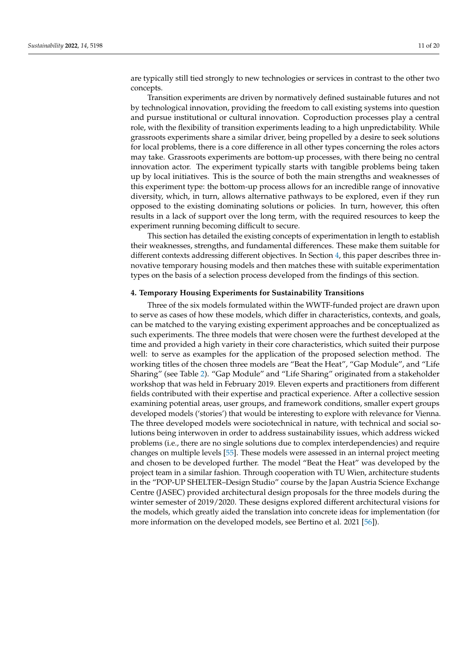are typically still tied strongly to new technologies or services in contrast to the other two concepts.

Transition experiments are driven by normatively defined sustainable futures and not by technological innovation, providing the freedom to call existing systems into question and pursue institutional or cultural innovation. Coproduction processes play a central role, with the flexibility of transition experiments leading to a high unpredictability. While grassroots experiments share a similar driver, being propelled by a desire to seek solutions for local problems, there is a core difference in all other types concerning the roles actors may take. Grassroots experiments are bottom-up processes, with there being no central innovation actor. The experiment typically starts with tangible problems being taken up by local initiatives. This is the source of both the main strengths and weaknesses of this experiment type: the bottom-up process allows for an incredible range of innovative diversity, which, in turn, allows alternative pathways to be explored, even if they run opposed to the existing dominating solutions or policies. In turn, however, this often results in a lack of support over the long term, with the required resources to keep the experiment running becoming difficult to secure.

This section has detailed the existing concepts of experimentation in length to establish their weaknesses, strengths, and fundamental differences. These make them suitable for different contexts addressing different objectives. In Section [4,](#page-10-0) this paper describes three innovative temporary housing models and then matches these with suitable experimentation types on the basis of a selection process developed from the findings of this section.

#### <span id="page-10-0"></span>**4. Temporary Housing Experiments for Sustainability Transitions**

Three of the six models formulated within the WWTF-funded project are drawn upon to serve as cases of how these models, which differ in characteristics, contexts, and goals, can be matched to the varying existing experiment approaches and be conceptualized as such experiments. The three models that were chosen were the furthest developed at the time and provided a high variety in their core characteristics, which suited their purpose well: to serve as examples for the application of the proposed selection method. The working titles of the chosen three models are "Beat the Heat", "Gap Module", and "Life Sharing" (see Table [2\)](#page-11-0). "Gap Module" and "Life Sharing" originated from a stakeholder workshop that was held in February 2019. Eleven experts and practitioners from different fields contributed with their expertise and practical experience. After a collective session examining potential areas, user groups, and framework conditions, smaller expert groups developed models ('stories') that would be interesting to explore with relevance for Vienna. The three developed models were sociotechnical in nature, with technical and social solutions being interwoven in order to address sustainability issues, which address wicked problems (i.e., there are no single solutions due to complex interdependencies) and require changes on multiple levels [\[55\]](#page-19-6). These models were assessed in an internal project meeting and chosen to be developed further. The model "Beat the Heat" was developed by the project team in a similar fashion. Through cooperation with TU Wien, architecture students in the "POP-UP SHELTER–Design Studio" course by the Japan Austria Science Exchange Centre (JASEC) provided architectural design proposals for the three models during the winter semester of 2019/2020. These designs explored different architectural visions for the models, which greatly aided the translation into concrete ideas for implementation (for more information on the developed models, see Bertino et al. 2021 [\[56\]](#page-19-7)).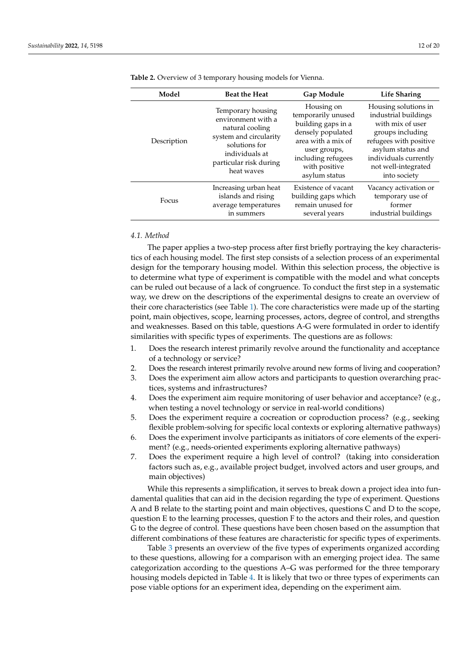| Model       | <b>Beat the Heat</b>                                                                                                                                            | <b>Gap Module</b>                                                                                                                                                         | Life Sharing                                                                                                                                                                                        |
|-------------|-----------------------------------------------------------------------------------------------------------------------------------------------------------------|---------------------------------------------------------------------------------------------------------------------------------------------------------------------------|-----------------------------------------------------------------------------------------------------------------------------------------------------------------------------------------------------|
| Description | Temporary housing<br>environment with a<br>natural cooling<br>system and circularity<br>solutions for<br>individuals at<br>particular risk during<br>heat waves | Housing on<br>temporarily unused<br>building gaps in a<br>densely populated<br>area with a mix of<br>user groups,<br>including refugees<br>with positive<br>asylum status | Housing solutions in<br>industrial buildings<br>with mix of user<br>groups including<br>refugees with positive<br>asylum status and<br>individuals currently<br>not well-integrated<br>into society |
| Focus       | Increasing urban heat<br>islands and rising<br>average temperatures<br>in summers                                                                               | Existence of vacant<br>building gaps which<br>remain unused for<br>several years                                                                                          | Vacancy activation or<br>temporary use of<br>former<br>industrial buildings                                                                                                                         |

<span id="page-11-0"></span>**Table 2.** Overview of 3 temporary housing models for Vienna.

# *4.1. Method*

The paper applies a two-step process after first briefly portraying the key characteristics of each housing model. The first step consists of a selection process of an experimental design for the temporary housing model. Within this selection process, the objective is to determine what type of experiment is compatible with the model and what concepts can be ruled out because of a lack of congruence. To conduct the first step in a systematic way, we drew on the descriptions of the experimental designs to create an overview of their core characteristics (see Table [1\)](#page-3-0). The core characteristics were made up of the starting point, main objectives, scope, learning processes, actors, degree of control, and strengths and weaknesses. Based on this table, questions A-G were formulated in order to identify similarities with specific types of experiments. The questions are as follows:

- 1. Does the research interest primarily revolve around the functionality and acceptance of a technology or service?
- 2. Does the research interest primarily revolve around new forms of living and cooperation?
- 3. Does the experiment aim allow actors and participants to question overarching practices, systems and infrastructures?
- 4. Does the experiment aim require monitoring of user behavior and acceptance? (e.g., when testing a novel technology or service in real-world conditions)
- 5. Does the experiment require a cocreation or coproduction process? (e.g., seeking flexible problem-solving for specific local contexts or exploring alternative pathways)
- 6. Does the experiment involve participants as initiators of core elements of the experiment? (e.g., needs-oriented experiments exploring alternative pathways)
- 7. Does the experiment require a high level of control? (taking into consideration factors such as, e.g., available project budget, involved actors and user groups, and main objectives)

While this represents a simplification, it serves to break down a project idea into fundamental qualities that can aid in the decision regarding the type of experiment. Questions A and B relate to the starting point and main objectives, questions C and D to the scope, question E to the learning processes, question F to the actors and their roles, and question G to the degree of control. These questions have been chosen based on the assumption that different combinations of these features are characteristic for specific types of experiments.

Table [3](#page-12-0) presents an overview of the five types of experiments organized according to these questions, allowing for a comparison with an emerging project idea. The same categorization according to the questions A–G was performed for the three temporary housing models depicted in Table [4.](#page-12-1) It is likely that two or three types of experiments can pose viable options for an experiment idea, depending on the experiment aim.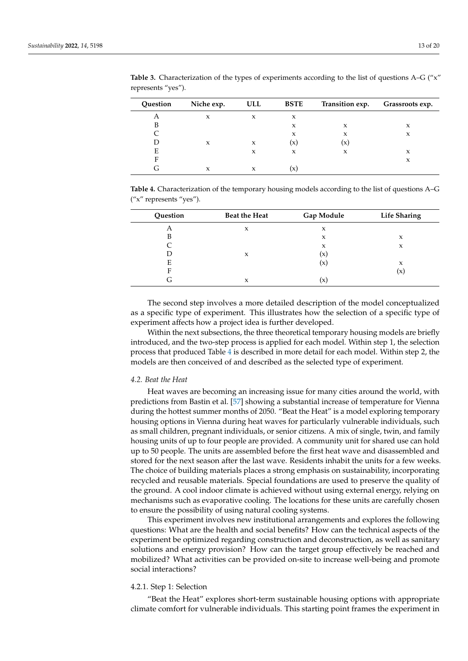| Question | Niche exp. | ULL | <b>BSTE</b>    | Transition exp. | Grassroots exp. |
|----------|------------|-----|----------------|-----------------|-----------------|
| А        | X          | X   | X              |                 |                 |
| B        |            |     | X              | X               | X               |
|          |            |     | X              | X               | X               |
|          | X          | X   | $(\mathsf{x})$ | $(\mathsf{x})$  |                 |
| E        |            | X   | X              | X               | X               |
| F        |            |     |                |                 | X               |
|          | X          | X   |                |                 |                 |

<span id="page-12-0"></span>Table 3. Characterization of the types of experiments according to the list of questions A–G ("x" represents "yes").

<span id="page-12-1"></span>**Table 4.** Characterization of the temporary housing models according to the list of questions A–G ("x" represents "yes").

| Question | Beat the Heat | Gap Module | <b>Life Sharing</b> |
|----------|---------------|------------|---------------------|
| А        | X             | X          |                     |
| В        |               | X          | X                   |
|          |               | X          | X                   |
|          | X             | (x)        |                     |
| E        |               | (X)        | X                   |
| Е        |               |            | $\mathsf{x}$        |
| G        | X             | (x)        |                     |

The second step involves a more detailed description of the model conceptualized as a specific type of experiment. This illustrates how the selection of a specific type of experiment affects how a project idea is further developed.

Within the next subsections, the three theoretical temporary housing models are briefly introduced, and the two-step process is applied for each model. Within step 1, the selection process that produced Table [4](#page-12-1) is described in more detail for each model. Within step 2, the models are then conceived of and described as the selected type of experiment.

## *4.2. Beat the Heat*

Heat waves are becoming an increasing issue for many cities around the world, with predictions from Bastin et al. [\[57\]](#page-19-8) showing a substantial increase of temperature for Vienna during the hottest summer months of 2050. "Beat the Heat" is a model exploring temporary housing options in Vienna during heat waves for particularly vulnerable individuals, such as small children, pregnant individuals, or senior citizens. A mix of single, twin, and family housing units of up to four people are provided. A community unit for shared use can hold up to 50 people. The units are assembled before the first heat wave and disassembled and stored for the next season after the last wave. Residents inhabit the units for a few weeks. The choice of building materials places a strong emphasis on sustainability, incorporating recycled and reusable materials. Special foundations are used to preserve the quality of the ground. A cool indoor climate is achieved without using external energy, relying on mechanisms such as evaporative cooling. The locations for these units are carefully chosen to ensure the possibility of using natural cooling systems.

This experiment involves new institutional arrangements and explores the following questions: What are the health and social benefits? How can the technical aspects of the experiment be optimized regarding construction and deconstruction, as well as sanitary solutions and energy provision? How can the target group effectively be reached and mobilized? What activities can be provided on-site to increase well-being and promote social interactions?

# 4.2.1. Step 1: Selection

"Beat the Heat" explores short-term sustainable housing options with appropriate climate comfort for vulnerable individuals. This starting point frames the experiment in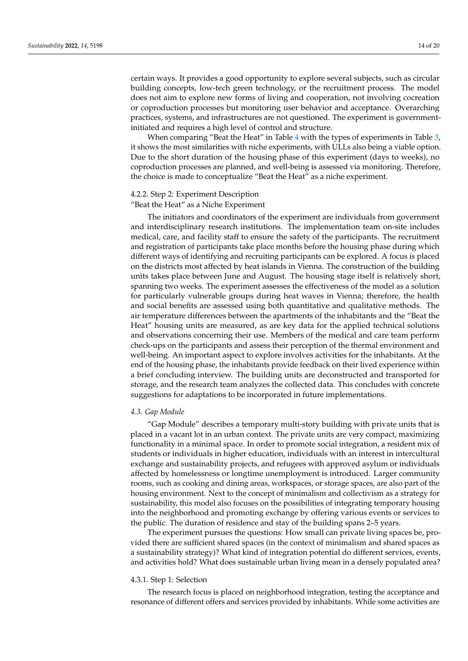certain ways. It provides a good opportunity to explore several subjects, such as circular building concepts, low-tech green technology, or the recruitment process. The model does not aim to explore new forms of living and cooperation, not involving cocreation or coproduction processes but monitoring user behavior and acceptance. Overarching practices, systems, and infrastructures are not questioned. The experiment is governmentinitiated and requires a high level of control and structure.

When comparing "Beat the Heat" in Table  $4$  with the types of experiments in Table [3,](#page-12-0) it shows the most similarities with niche experiments, with ULLs also being a viable option. Due to the short duration of the housing phase of this experiment (days to weeks), no coproduction processes are planned, and well-being is assessed via monitoring. Therefore, the choice is made to conceptualize "Beat the Heat" as a niche experiment.

# 4.2.2. Step 2: Experiment Description

"Beat the Heat" as a Niche Experiment

The initiators and coordinators of the experiment are individuals from government and interdisciplinary research institutions. The implementation team on-site includes medical, care, and facility staff to ensure the safety of the participants. The recruitment and registration of participants take place months before the housing phase during which different ways of identifying and recruiting participants can be explored. A focus is placed on the districts most affected by heat islands in Vienna. The construction of the building units takes place between June and August. The housing stage itself is relatively short, spanning two weeks. The experiment assesses the effectiveness of the model as a solution for particularly vulnerable groups during heat waves in Vienna; therefore, the health and social benefits are assessed using both quantitative and qualitative methods. The air temperature differences between the apartments of the inhabitants and the "Beat the Heat" housing units are measured, as are key data for the applied technical solutions and observations concerning their use. Members of the medical and care team perform check-ups on the participants and assess their perception of the thermal environment and well-being. An important aspect to explore involves activities for the inhabitants. At the end of the housing phase, the inhabitants provide feedback on their lived experience within a brief concluding interview. The building units are deconstructed and transported for storage, and the research team analyzes the collected data. This concludes with concrete suggestions for adaptations to be incorporated in future implementations.

# *4.3. Gap Module*

"Gap Module" describes a temporary multi-story building with private units that is placed in a vacant lot in an urban context. The private units are very compact, maximizing functionality in a minimal space. In order to promote social integration, a resident mix of students or individuals in higher education, individuals with an interest in intercultural exchange and sustainability projects, and refugees with approved asylum or individuals affected by homelessness or longtime unemployment is introduced. Larger community rooms, such as cooking and dining areas, workspaces, or storage spaces, are also part of the housing environment. Next to the concept of minimalism and collectivism as a strategy for sustainability, this model also focuses on the possibilities of integrating temporary housing into the neighborhood and promoting exchange by offering various events or services to the public. The duration of residence and stay of the building spans 2–5 years.

The experiment pursues the questions: How small can private living spaces be, provided there are sufficient shared spaces (in the context of minimalism and shared spaces as a sustainability strategy)? What kind of integration potential do different services, events, and activities hold? What does sustainable urban living mean in a densely populated area?

#### 4.3.1. Step 1: Selection

The research focus is placed on neighborhood integration, testing the acceptance and resonance of different offers and services provided by inhabitants. While some activities are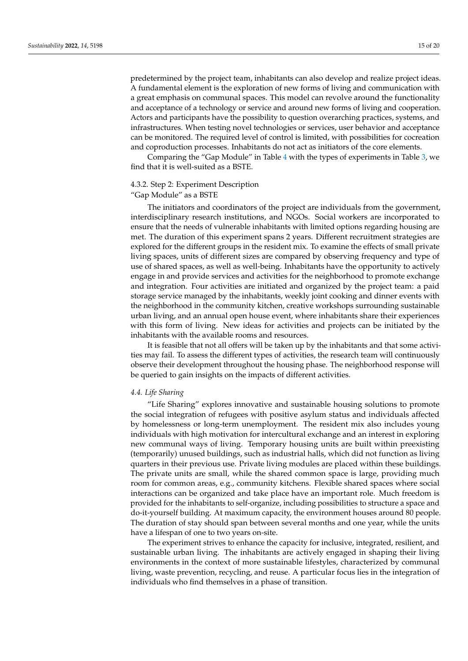predetermined by the project team, inhabitants can also develop and realize project ideas. A fundamental element is the exploration of new forms of living and communication with a great emphasis on communal spaces. This model can revolve around the functionality and acceptance of a technology or service and around new forms of living and cooperation. Actors and participants have the possibility to question overarching practices, systems, and infrastructures. When testing novel technologies or services, user behavior and acceptance can be monitored. The required level of control is limited, with possibilities for cocreation and coproduction processes. Inhabitants do not act as initiators of the core elements.

Comparing the "Gap Module" in Table [4](#page-12-1) with the types of experiments in Table [3,](#page-12-0) we find that it is well-suited as a BSTE.

# 4.3.2. Step 2: Experiment Description

## "Gap Module" as a BSTE

The initiators and coordinators of the project are individuals from the government, interdisciplinary research institutions, and NGOs. Social workers are incorporated to ensure that the needs of vulnerable inhabitants with limited options regarding housing are met. The duration of this experiment spans 2 years. Different recruitment strategies are explored for the different groups in the resident mix. To examine the effects of small private living spaces, units of different sizes are compared by observing frequency and type of use of shared spaces, as well as well-being. Inhabitants have the opportunity to actively engage in and provide services and activities for the neighborhood to promote exchange and integration. Four activities are initiated and organized by the project team: a paid storage service managed by the inhabitants, weekly joint cooking and dinner events with the neighborhood in the community kitchen, creative workshops surrounding sustainable urban living, and an annual open house event, where inhabitants share their experiences with this form of living. New ideas for activities and projects can be initiated by the inhabitants with the available rooms and resources.

It is feasible that not all offers will be taken up by the inhabitants and that some activities may fail. To assess the different types of activities, the research team will continuously observe their development throughout the housing phase. The neighborhood response will be queried to gain insights on the impacts of different activities.

# *4.4. Life Sharing*

"Life Sharing" explores innovative and sustainable housing solutions to promote the social integration of refugees with positive asylum status and individuals affected by homelessness or long-term unemployment. The resident mix also includes young individuals with high motivation for intercultural exchange and an interest in exploring new communal ways of living. Temporary housing units are built within preexisting (temporarily) unused buildings, such as industrial halls, which did not function as living quarters in their previous use. Private living modules are placed within these buildings. The private units are small, while the shared common space is large, providing much room for common areas, e.g., community kitchens. Flexible shared spaces where social interactions can be organized and take place have an important role. Much freedom is provided for the inhabitants to self-organize, including possibilities to structure a space and do-it-yourself building. At maximum capacity, the environment houses around 80 people. The duration of stay should span between several months and one year, while the units have a lifespan of one to two years on-site.

The experiment strives to enhance the capacity for inclusive, integrated, resilient, and sustainable urban living. The inhabitants are actively engaged in shaping their living environments in the context of more sustainable lifestyles, characterized by communal living, waste prevention, recycling, and reuse. A particular focus lies in the integration of individuals who find themselves in a phase of transition.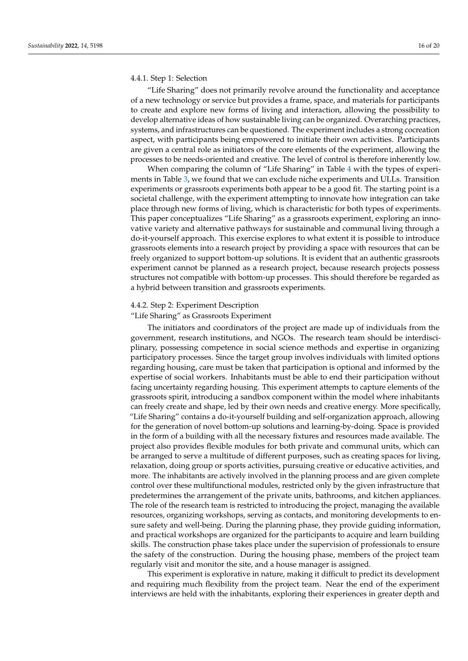## 4.4.1. Step 1: Selection

"Life Sharing" does not primarily revolve around the functionality and acceptance of a new technology or service but provides a frame, space, and materials for participants to create and explore new forms of living and interaction, allowing the possibility to develop alternative ideas of how sustainable living can be organized. Overarching practices, systems, and infrastructures can be questioned. The experiment includes a strong cocreation aspect, with participants being empowered to initiate their own activities. Participants are given a central role as initiators of the core elements of the experiment, allowing the processes to be needs-oriented and creative. The level of control is therefore inherently low.

When comparing the column of "Life Sharing" in Table [4](#page-12-1) with the types of experiments in Table [3,](#page-12-0) we found that we can exclude niche experiments and ULLs. Transition experiments or grassroots experiments both appear to be a good fit. The starting point is a societal challenge, with the experiment attempting to innovate how integration can take place through new forms of living, which is characteristic for both types of experiments. This paper conceptualizes "Life Sharing" as a grassroots experiment, exploring an innovative variety and alternative pathways for sustainable and communal living through a do-it-yourself approach. This exercise explores to what extent it is possible to introduce grassroots elements into a research project by providing a space with resources that can be freely organized to support bottom-up solutions. It is evident that an authentic grassroots experiment cannot be planned as a research project, because research projects possess structures not compatible with bottom-up processes. This should therefore be regarded as a hybrid between transition and grassroots experiments.

# 4.4.2. Step 2: Experiment Description

"Life Sharing" as Grassroots Experiment

The initiators and coordinators of the project are made up of individuals from the government, research institutions, and NGOs. The research team should be interdisciplinary, possessing competence in social science methods and expertise in organizing participatory processes. Since the target group involves individuals with limited options regarding housing, care must be taken that participation is optional and informed by the expertise of social workers. Inhabitants must be able to end their participation without facing uncertainty regarding housing. This experiment attempts to capture elements of the grassroots spirit, introducing a sandbox component within the model where inhabitants can freely create and shape, led by their own needs and creative energy. More specifically, "Life Sharing" contains a do-it-yourself building and self-organization approach, allowing for the generation of novel bottom-up solutions and learning-by-doing. Space is provided in the form of a building with all the necessary fixtures and resources made available. The project also provides flexible modules for both private and communal units, which can be arranged to serve a multitude of different purposes, such as creating spaces for living, relaxation, doing group or sports activities, pursuing creative or educative activities, and more. The inhabitants are actively involved in the planning process and are given complete control over these multifunctional modules, restricted only by the given infrastructure that predetermines the arrangement of the private units, bathrooms, and kitchen appliances. The role of the research team is restricted to introducing the project, managing the available resources, organizing workshops, serving as contacts, and monitoring developments to ensure safety and well-being. During the planning phase, they provide guiding information, and practical workshops are organized for the participants to acquire and learn building skills. The construction phase takes place under the supervision of professionals to ensure the safety of the construction. During the housing phase, members of the project team regularly visit and monitor the site, and a house manager is assigned.

This experiment is explorative in nature, making it difficult to predict its development and requiring much flexibility from the project team. Near the end of the experiment interviews are held with the inhabitants, exploring their experiences in greater depth and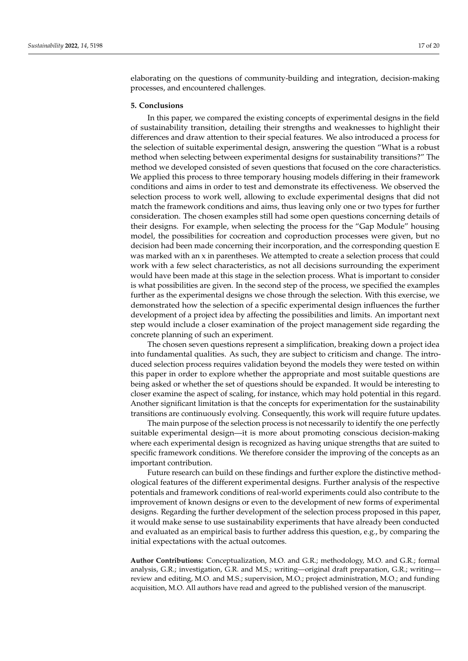elaborating on the questions of community-building and integration, decision-making processes, and encountered challenges.

#### **5. Conclusions**

In this paper, we compared the existing concepts of experimental designs in the field of sustainability transition, detailing their strengths and weaknesses to highlight their differences and draw attention to their special features. We also introduced a process for the selection of suitable experimental design, answering the question "What is a robust method when selecting between experimental designs for sustainability transitions?" The method we developed consisted of seven questions that focused on the core characteristics. We applied this process to three temporary housing models differing in their framework conditions and aims in order to test and demonstrate its effectiveness. We observed the selection process to work well, allowing to exclude experimental designs that did not match the framework conditions and aims, thus leaving only one or two types for further consideration. The chosen examples still had some open questions concerning details of their designs. For example, when selecting the process for the "Gap Module" housing model, the possibilities for cocreation and coproduction processes were given, but no decision had been made concerning their incorporation, and the corresponding question E was marked with an x in parentheses. We attempted to create a selection process that could work with a few select characteristics, as not all decisions surrounding the experiment would have been made at this stage in the selection process. What is important to consider is what possibilities are given. In the second step of the process, we specified the examples further as the experimental designs we chose through the selection. With this exercise, we demonstrated how the selection of a specific experimental design influences the further development of a project idea by affecting the possibilities and limits. An important next step would include a closer examination of the project management side regarding the concrete planning of such an experiment.

The chosen seven questions represent a simplification, breaking down a project idea into fundamental qualities. As such, they are subject to criticism and change. The introduced selection process requires validation beyond the models they were tested on within this paper in order to explore whether the appropriate and most suitable questions are being asked or whether the set of questions should be expanded. It would be interesting to closer examine the aspect of scaling, for instance, which may hold potential in this regard. Another significant limitation is that the concepts for experimentation for the sustainability transitions are continuously evolving. Consequently, this work will require future updates.

The main purpose of the selection process is not necessarily to identify the one perfectly suitable experimental design—it is more about promoting conscious decision-making where each experimental design is recognized as having unique strengths that are suited to specific framework conditions. We therefore consider the improving of the concepts as an important contribution.

Future research can build on these findings and further explore the distinctive methodological features of the different experimental designs. Further analysis of the respective potentials and framework conditions of real-world experiments could also contribute to the improvement of known designs or even to the development of new forms of experimental designs. Regarding the further development of the selection process proposed in this paper, it would make sense to use sustainability experiments that have already been conducted and evaluated as an empirical basis to further address this question, e.g., by comparing the initial expectations with the actual outcomes.

**Author Contributions:** Conceptualization, M.O. and G.R.; methodology, M.O. and G.R.; formal analysis, G.R.; investigation, G.R. and M.S.; writing—original draft preparation, G.R.; writing review and editing, M.O. and M.S.; supervision, M.O.; project administration, M.O.; and funding acquisition, M.O. All authors have read and agreed to the published version of the manuscript.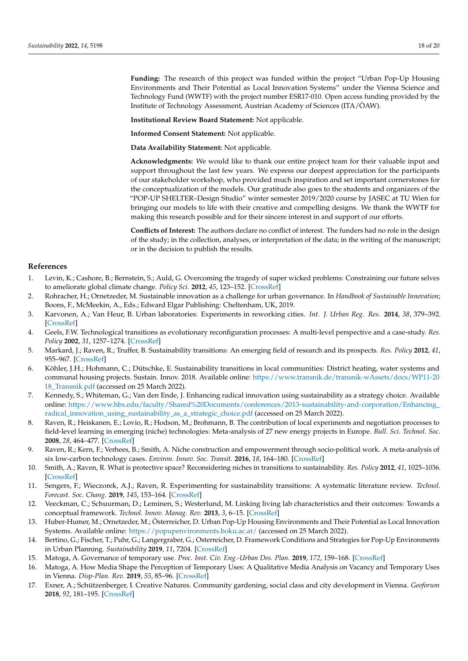**Funding:** The research of this project was funded within the project "Urban Pop-Up Housing Environments and Their Potential as Local Innovation Systems" under the Vienna Science and Technology Fund (WWTF) with the project number ESR17-010. Open access funding provided by the Institute of Technology Assessment, Austrian Academy of Sciences (ITA/ÖAW).

**Institutional Review Board Statement:** Not applicable.

**Informed Consent Statement:** Not applicable.

**Data Availability Statement:** Not applicable.

**Acknowledgments:** We would like to thank our entire project team for their valuable input and support throughout the last few years. We express our deepest appreciation for the participants of our stakeholder workshop, who provided much inspiration and set important cornerstones for the conceptualization of the models. Our gratitude also goes to the students and organizers of the "POP-UP SHELTER–Design Studio" winter semester 2019/2020 course by JASEC at TU Wien for bringing our models to life with their creative and compelling designs. We thank the WWTF for making this research possible and for their sincere interest in and support of our efforts.

**Conflicts of Interest:** The authors declare no conflict of interest. The funders had no role in the design of the study; in the collection, analyses, or interpretation of the data; in the writing of the manuscript; or in the decision to publish the results.

## **References**

- <span id="page-17-0"></span>1. Levin, K.; Cashore, B.; Bernstein, S.; Auld, G. Overcoming the tragedy of super wicked problems: Constraining our future selves to ameliorate global climate change. *Policy Sci.* **2012**, *45*, 123–152. [\[CrossRef\]](http://doi.org/10.1007/s11077-012-9151-0)
- <span id="page-17-1"></span>2. Rohracher, H.; Ornetzeder, M. Sustainable innovation as a challenge for urban governance. In *Handbook of Sustainable Innovation*; Boons, F., McMeekin, A., Eds.; Edward Elgar Publishing: Cheltenham, UK, 2019.
- <span id="page-17-2"></span>3. Karvonen, A.; Van Heur, B. Urban laboratories: Experiments in reworking cities. *Int. J. Urban Reg. Res.* **2014**, *38*, 379–392. [\[CrossRef\]](http://doi.org/10.1111/1468-2427.12075)
- <span id="page-17-3"></span>4. Geels, F.W. Technological transitions as evolutionary reconfiguration processes: A multi-level perspective and a case-study. *Res. Policy* **2002**, *31*, 1257–1274. [\[CrossRef\]](http://doi.org/10.1016/S0048-7333(02)00062-8)
- <span id="page-17-4"></span>5. Markard, J.; Raven, R.; Truffer, B. Sustainability transitions: An emerging field of research and its prospects. *Res. Policy* **2012**, *41*, 955–967. [\[CrossRef\]](http://doi.org/10.1016/j.respol.2012.02.013)
- <span id="page-17-5"></span>6. Köhler, J.H.; Hohmann, C.; Dütschke, E. Sustainability transitions in local communities: District heating, water systems and communal housing projects. Sustain. Innov. 2018. Available online: [https://www.transnik.de/transnik-wAssets/docs/WP11-20](https://www.transnik.de/transnik-wAssets/docs/WP11-2018_Transnik.pdf) [18\\_Transnik.pdf](https://www.transnik.de/transnik-wAssets/docs/WP11-2018_Transnik.pdf) (accessed on 25 March 2022).
- <span id="page-17-6"></span>7. Kennedy, S.; Whiteman, G.; Van den Ende, J. Enhancing radical innovation using sustainability as a strategy choice. Available online: [https://www.hbs.edu/faculty/Shared%20Documents/conferences/2013-sustainability-and-corporation/Enhancing\\_](https://www.hbs.edu/faculty/Shared%20Documents/conferences/2013-sustainability-and-corporation/Enhancing_radical_innovation_using_sustainability_as_a_strategic_choice.pdf) [radical\\_innovation\\_using\\_sustainability\\_as\\_a\\_strategic\\_choice.pdf](https://www.hbs.edu/faculty/Shared%20Documents/conferences/2013-sustainability-and-corporation/Enhancing_radical_innovation_using_sustainability_as_a_strategic_choice.pdf) (accessed on 25 March 2022).
- <span id="page-17-7"></span>8. Raven, R.; Heiskanen, E.; Lovio, R.; Hodson, M.; Brohmann, B. The contribution of local experiments and negotiation processes to field-level learning in emerging (niche) technologies: Meta-analysis of 27 new energy projects in Europe. *Bull. Sci. Technol. Soc.* **2008**, *28*, 464–477. [\[CrossRef\]](http://doi.org/10.1177/0270467608317523)
- 9. Raven, R.; Kern, F.; Verhees, B.; Smith, A. Niche construction and empowerment through socio-political work. A meta-analysis of six low-carbon technology cases. *Environ. Innov. Soc. Transit.* **2016**, *18*, 164–180. [\[CrossRef\]](http://doi.org/10.1016/j.eist.2015.02.002)
- <span id="page-17-8"></span>10. Smith, A.; Raven, R. What is protective space? Reconsidering niches in transitions to sustainability. *Res. Policy* **2012**, *41*, 1025–1036. [\[CrossRef\]](http://doi.org/10.1016/j.respol.2011.12.012)
- <span id="page-17-9"></span>11. Sengers, F.; Wieczorek, A.J.; Raven, R. Experimenting for sustainability transitions: A systematic literature review. *Technol. Forecast. Soc. Chang.* **2019**, *145*, 153–164. [\[CrossRef\]](http://doi.org/10.1016/j.techfore.2016.08.031)
- <span id="page-17-10"></span>12. Veeckman, C.; Schuurman, D.; Leminen, S.; Westerlund, M. Linking living lab characteristics and their outcomes: Towards a conceptual framework. *Technol. Innov. Manag. Rev.* **2013**, *3*, 6–15. [\[CrossRef\]](http://doi.org/10.22215/timreview/748)
- <span id="page-17-11"></span>13. Huber-Humer, M.; Ornetzeder, M.; Österreicher, D. Urban Pop-Up Housing Environments and Their Potential as Local Innovation Systems. Available online: <https://popupenvironments.boku.ac.at/> (accessed on 25 March 2022).
- <span id="page-17-12"></span>14. Bertino, G.; Fischer, T.; Puhr, G.; Langergraber, G.; Osterreicher, D. Framework Conditions and Strategies for Pop-Up Environments in Urban Planning. *Sustainability* **2019**, *11*, 7204. [\[CrossRef\]](http://doi.org/10.3390/su11247204)
- <span id="page-17-13"></span>15. Matoga, A. Governance of temporary use. *Proc. Inst. Civ. Eng.-Urban Des. Plan.* **2019**, *172*, 159–168. [\[CrossRef\]](http://doi.org/10.1680/jurdp.18.00052)
- 16. Matoga, A. How Media Shape the Perception of Temporary Uses: A Qualitative Media Analysis on Vacancy and Temporary Uses in Vienna. *Disp-Plan. Rev.* **2019**, *55*, 85–96. [\[CrossRef\]](http://doi.org/10.1080/02513625.2019.1598114)
- <span id="page-17-14"></span>17. Exner, A.; Schützenberger, I. Creative Natures. Community gardening, social class and city development in Vienna. *Geoforum* **2018**, *92*, 181–195. [\[CrossRef\]](http://doi.org/10.1016/j.geoforum.2018.04.011)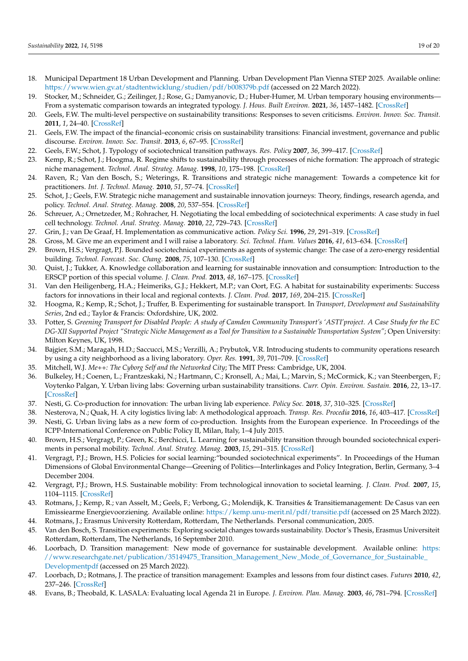- <span id="page-18-0"></span>18. Municipal Department 18 Urban Development and Planning. Urban Development Plan Vienna STEP 2025. Available online: <https://www.wien.gv.at/stadtentwicklung/studien/pdf/b008379b.pdf> (accessed on 22 March 2022).
- <span id="page-18-1"></span>19. Stocker, M.; Schneider, G.; Zeilinger, J.; Rose, G.; Damyanovic, D.; Huber-Humer, M. Urban temporary housing environments— From a systematic comparison towards an integrated typology. *J. Hous. Built Environ.* **2021**, *36*, 1457–1482. [\[CrossRef\]](http://doi.org/10.1007/s10901-020-09812-x)
- <span id="page-18-2"></span>20. Geels, F.W. The multi-level perspective on sustainability transitions: Responses to seven criticisms. *Environ. Innov. Soc. Transit.* **2011**, *1*, 24–40. [\[CrossRef\]](http://doi.org/10.1016/j.eist.2011.02.002)
- 21. Geels, F.W. The impact of the financial–economic crisis on sustainability transitions: Financial investment, governance and public discourse. *Environ. Innov. Soc. Transit.* **2013**, *6*, 67–95. [\[CrossRef\]](http://doi.org/10.1016/j.eist.2012.11.004)
- 22. Geels, F.W.; Schot, J. Typology of sociotechnical transition pathways. *Res. Policy* **2007**, *36*, 399–417. [\[CrossRef\]](http://doi.org/10.1016/j.respol.2007.01.003)
- <span id="page-18-12"></span>23. Kemp, R.; Schot, J.; Hoogma, R. Regime shifts to sustainability through processes of niche formation: The approach of strategic niche management. *Technol. Anal. Strateg. Manag.* **1998**, *10*, 175–198. [\[CrossRef\]](http://doi.org/10.1080/09537329808524310)
- <span id="page-18-3"></span>24. Raven, R.; Van den Bosch, S.; Weterings, R. Transitions and strategic niche management: Towards a competence kit for practitioners. *Int. J. Technol. Manag.* **2010**, *51*, 57–74. [\[CrossRef\]](http://doi.org/10.1504/IJTM.2010.033128)
- <span id="page-18-4"></span>25. Schot, J.; Geels, F.W. Strategic niche management and sustainable innovation journeys: Theory, findings, research agenda, and policy. *Technol. Anal. Strateg. Manag.* **2008**, *20*, 537–554. [\[CrossRef\]](http://doi.org/10.1080/09537320802292651)
- <span id="page-18-5"></span>26. Schreuer, A.; Ornetzeder, M.; Rohracher, H. Negotiating the local embedding of sociotechnical experiments: A case study in fuel cell technology. *Technol. Anal. Strateg. Manag.* **2010**, *22*, 729–743. [\[CrossRef\]](http://doi.org/10.1080/09537325.2010.496286)
- <span id="page-18-6"></span>27. Grin, J.; van De Graaf, H. Implementation as communicative action. *Policy Sci.* **1996**, *29*, 291–319. [\[CrossRef\]](http://doi.org/10.1007/BF00138406)
- <span id="page-18-7"></span>28. Gross, M. Give me an experiment and I will raise a laboratory. *Sci. Technol. Hum. Values* **2016**, *41*, 613–634. [\[CrossRef\]](http://doi.org/10.1177/0162243915617005)
- <span id="page-18-8"></span>29. Brown, H.S.; Vergragt, P.J. Bounded sociotechnical experiments as agents of systemic change: The case of a zero-energy residential building. *Technol. Forecast. Soc. Chang.* **2008**, *75*, 107–130. [\[CrossRef\]](http://doi.org/10.1016/j.techfore.2006.05.014)
- <span id="page-18-9"></span>30. Quist, J.; Tukker, A. Knowledge collaboration and learning for sustainable innovation and consumption: Introduction to the ERSCP portion of this special volume. *J. Clean. Prod.* **2013**, *48*, 167–175. [\[CrossRef\]](http://doi.org/10.1016/j.jclepro.2013.03.051)
- <span id="page-18-10"></span>31. Van den Heiligenberg, H.A.; Heimeriks, G.J.; Hekkert, M.P.; van Oort, F.G. A habitat for sustainability experiments: Success factors for innovations in their local and regional contexts. *J. Clean. Prod.* **2017**, *169*, 204–215. [\[CrossRef\]](http://doi.org/10.1016/j.jclepro.2017.06.177)
- <span id="page-18-11"></span>32. Hoogma, R.; Kemp, R.; Schot, J.; Truffer, B. Experimenting for sustainable transport. In *Transport, Development and Sustainability Series*, 2nd ed.; Taylor & Francis: Oxfordshire, UK, 2002.
- <span id="page-18-13"></span>33. Potter, S. *Greening Transport for Disabled People: A study of Camden Community Transport's 'ASTI'project. A Case Study for the EC DG-XII Supported Project "Strategic Niche Management as a Tool for Transition to a Sustainable Transportation System"*; Open University: Milton Keynes, UK, 1998.
- <span id="page-18-14"></span>34. Bajgier, S.M.; Maragah, H.D.; Saccucci, M.S.; Verzilli, A.; Prybutok, V.R. Introducing students to community operations research by using a city neighborhood as a living laboratory. *Oper. Res.* **1991**, *39*, 701–709. [\[CrossRef\]](http://doi.org/10.1287/opre.39.5.701)
- <span id="page-18-15"></span>35. Mitchell, W.J. *Me++: The Cyborg Self and the Networked City*; The MIT Press: Cambridge, UK, 2004.
- <span id="page-18-16"></span>36. Bulkeley, H.; Coenen, L.; Frantzeskaki, N.; Hartmann, C.; Kronsell, A.; Mai, L.; Marvin, S.; McCormick, K.; van Steenbergen, F.; Voytenko Palgan, Y. Urban living labs: Governing urban sustainability transitions. *Curr. Opin. Environ. Sustain.* **2016**, *22*, 13–17. [\[CrossRef\]](http://doi.org/10.1016/j.cosust.2017.02.003)
- <span id="page-18-17"></span>37. Nesti, G. Co-production for innovation: The urban living lab experience. *Policy Soc.* **2018**, *37*, 310–325. [\[CrossRef\]](http://doi.org/10.1080/14494035.2017.1374692)
- <span id="page-18-18"></span>38. Nesterova, N.; Quak, H. A city logistics living lab: A methodological approach. *Transp. Res. Procedia* **2016**, *16*, 403–417. [\[CrossRef\]](http://doi.org/10.1016/j.trpro.2016.11.038)
- <span id="page-18-19"></span>39. Nesti, G. Urban living labs as a new form of co-production. Insights from the European experience. In Proceedings of the ICPP-International Conference on Public Policy II, Milan, Italy, 1–4 July 2015.
- <span id="page-18-20"></span>40. Brown, H.S.; Vergragt, P.; Green, K.; Berchicci, L. Learning for sustainability transition through bounded sociotechnical experiments in personal mobility. *Technol. Anal. Strateg. Manag.* **2003**, *15*, 291–315. [\[CrossRef\]](http://doi.org/10.1080/09537320310001601496)
- <span id="page-18-21"></span>41. Vergragt, P.J.; Brown, H.S. Policies for social learning:"bounded sociotechnical experiments". In Proceedings of the Human Dimensions of Global Environmental Change—Greening of Politics—Interlinkages and Policy Integration, Berlin, Germany, 3–4 December 2004.
- <span id="page-18-22"></span>42. Vergragt, P.J.; Brown, H.S. Sustainable mobility: From technological innovation to societal learning. *J. Clean. Prod.* **2007**, *15*, 1104–1115. [\[CrossRef\]](http://doi.org/10.1016/j.jclepro.2006.05.020)
- <span id="page-18-23"></span>43. Rotmans, J.; Kemp, R.; van Asselt, M.; Geels, F.; Verbong, G.; Molendijk, K. Transities & Transitiemanagement: De Casus van een Emissiearme Energievoorziening. Available online: <https://kemp.unu-merit.nl/pdf/transitie.pdf> (accessed on 25 March 2022).
- <span id="page-18-24"></span>44. Rotmans, J.; Erasmus University Rotterdam, Rotterdam, The Netherlands. Personal communication, 2005.
- <span id="page-18-25"></span>45. Van den Bosch, S. Transition experiments: Exploring societal changes towards sustainability. Doctor's Thesis, Erasmus Universiteit Rotterdam, Rotterdam, The Netherlands, 16 September 2010.
- <span id="page-18-26"></span>46. Loorbach, D. Transition management: New mode of governance for sustainable development. Available online: [https:](https://www.researchgate.net/publication/35149475_Transition_Management_New_Mode_of_Governance_for_Sustainable_Developmentpdf) [//www.researchgate.net/publication/35149475\\_Transition\\_Management\\_New\\_Mode\\_of\\_Governance\\_for\\_Sustainable\\_](https://www.researchgate.net/publication/35149475_Transition_Management_New_Mode_of_Governance_for_Sustainable_Developmentpdf) [Developmentpdf](https://www.researchgate.net/publication/35149475_Transition_Management_New_Mode_of_Governance_for_Sustainable_Developmentpdf) (accessed on 25 March 2022).
- <span id="page-18-27"></span>47. Loorbach, D.; Rotmans, J. The practice of transition management: Examples and lessons from four distinct cases. *Futures* **2010**, *42*, 237–246. [\[CrossRef\]](http://doi.org/10.1016/j.futures.2009.11.009)
- <span id="page-18-28"></span>48. Evans, B.; Theobald, K. LASALA: Evaluating local Agenda 21 in Europe. *J. Environ. Plan. Manag.* **2003**, *46*, 781–794. [\[CrossRef\]](http://doi.org/10.1080/0964056032000138481)